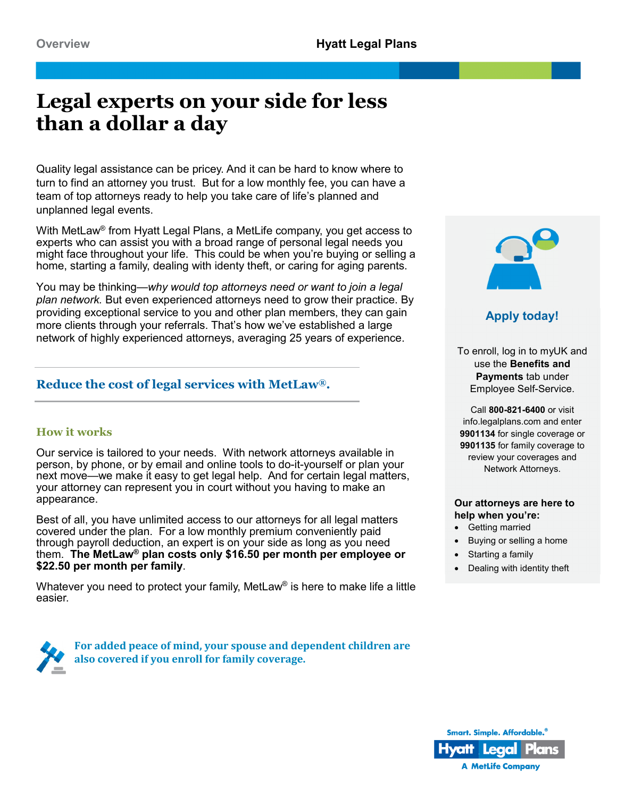# **Legal experts on your side for less than a dollar a day**

Quality legal assistance can be pricey. And it can be hard to know where to turn to find an attorney you trust. But for a low monthly fee, you can have a team of top attorneys ready to help you take care of life's planned and unplanned legal events.

With MetLaw® from Hyatt Legal Plans, a MetLife company, you get access to experts who can assist you with a broad range of personal legal needs you might face throughout your life. This could be when you're buying or selling a home, starting a family, dealing with identy theft, or caring for aging parents.

You may be thinking—*why would top attorneys need or want to join a legal plan network.* But even experienced attorneys need to grow their practice. By providing exceptional service to you and other plan members, they can gain more clients through your referrals. That's how we've established a large network of highly experienced attorneys, averaging 25 years of experience.

# **Reduce the cost of legal services with MetLaw®.**

# **How it works**

Our service is tailored to your needs. With network attorneys available in person, by phone, or by email and online tools to do-it-yourself or plan your next move—we make it easy to get legal help. And for certain legal matters, your attorney can represent you in court without you having to make an appearance.

Best of all, you have unlimited access to our attorneys for all legal matters covered under the plan. For a low monthly premium conveniently paid through payroll deduction, an expert is on your side as long as you need them. **The MetLaw® plan costs only \$16.50 per month per employee or \$22.50 per month per family**.

Whatever you need to protect your family, MetLaw<sup>®</sup> is here to make life a little easier.

> **For added peace of mind, your spouse and dependent children are also covered if you enroll for family coverage.**



**Apply today!**

To enroll, log in to myUK and use the **Benefits and Payments** tab under Employee Self-Service.

Call **800-821-6400** or visit info.legalplans.com and enter **9901134** for single coverage or **9901135** for family coverage to review your coverages and Network Attorneys.

# **Our attorneys are here to help when you're:**

- Getting married
- Buying or selling a home
- Starting a family
- Dealing with identity theft

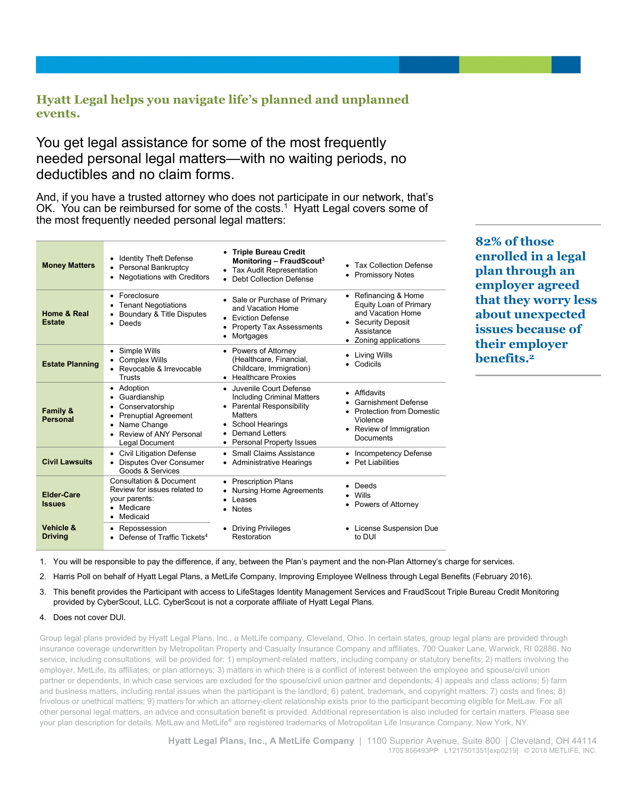# **Hyatt Legal helps you navigate life's planned and unplanned events.**

You get legal assistance for some of the most frequently needed personal legal matters—with no waiting periods, no deductibles and no claim forms.

And, if you have a trusted attorney who does not participate in our network, that's OK. You can be reimbursed for some of the costs.<sup>1</sup> Hyatt Legal covers some of the most frequently needed personal legal matters:

| <b>Money Matters</b>                   | <b>Identity Theft Defense</b><br>Personal Bankruptcy<br>Negotiations with Creditors<br>٠                                                             | <b>Triple Bureau Credit</b><br>$\bullet$<br>Monitoring - FraudScout <sup>3</sup><br>• Tax Audit Representation<br>Debt Collection Defense<br>$\bullet$                                              | • Tax Collection Defense<br><b>Promissory Notes</b><br>٠                                                                          |
|----------------------------------------|------------------------------------------------------------------------------------------------------------------------------------------------------|-----------------------------------------------------------------------------------------------------------------------------------------------------------------------------------------------------|-----------------------------------------------------------------------------------------------------------------------------------|
| Home & Real<br><b>Estate</b>           | Foreclosure<br><b>Tenant Negotiations</b><br>Boundary & Title Disputes<br>٠<br>Deeds<br>$\bullet$                                                    | Sale or Purchase of Primary<br>$\bullet$<br>and Vacation Home<br>• Eviction Defense<br><b>Property Tax Assessments</b><br>٠<br>Mortgages                                                            | • Refinancing & Home<br>Equity Loan of Primary<br>and Vacation Home<br>• Security Deposit<br>Assistance<br>• Zoning applications  |
| <b>Estate Planning</b>                 | Simple Wills<br><b>Complex Wills</b><br>Revocable & Irrevocable<br><b>Trusts</b>                                                                     | Powers of Attorney<br>$\bullet$<br>(Healthcare, Financial,<br>Childcare, Immigration)<br><b>Healthcare Proxies</b><br>$\bullet$                                                                     | Living Wills<br>Codicils                                                                                                          |
| <b>Family &amp;</b><br><b>Personal</b> | Adoption<br>٠<br>Guardianship<br>٠<br>Conservatorship<br>٠<br><b>Prenuptial Agreement</b><br>Name Change<br>Review of ANY Personal<br>Legal Document | • Juvenile Court Defense<br>Including Criminal Matters<br>• Parental Responsibility<br><b>Matters</b><br><b>School Hearings</b><br>٠<br><b>Demand Letters</b><br>٠<br>Personal Property Issues<br>٠ | • Affidavits<br><b>Garnishment Defense</b><br><b>Protection from Domestic</b><br>Violence<br>• Review of Immigration<br>Documents |
| <b>Civil Lawsuits</b>                  | <b>Civil Litigation Defense</b><br><b>Disputes Over Consumer</b><br>Goods & Services                                                                 | Small Claims Assistance<br>$\bullet$<br>• Administrative Hearings                                                                                                                                   | <b>Incompetency Defense</b><br>٠<br>Pet Liabilities                                                                               |
| Elder-Care<br><b>Issues</b>            | <b>Consultation &amp; Document</b><br>Review for issues related to<br>your parents:<br>Medicare<br>Medicaid<br>٠                                     | <b>Prescription Plans</b><br>$\bullet$<br><b>Nursing Home Agreements</b><br><b>Leases</b><br><b>Notes</b>                                                                                           | Deeds<br>Wills<br>Powers of Attorney                                                                                              |
| Vehicle &<br><b>Driving</b>            | Repossession<br>٠<br>Defense of Traffic Tickets <sup>4</sup>                                                                                         | <b>Driving Privileges</b><br>٠<br>Restoration                                                                                                                                                       | • License Suspension Due<br>to DUI                                                                                                |

**82% of those enrolled in a legal plan through an employer agreed that they worry less about unexpected issues because of their employer benefits.2**

1. You will be responsible to pay the difference, if any, between the Plan's payment and the non-Plan Attorney's charge for services.

2. Harris Poll on behalf of Hyatt Legal Plans, a MetLife Company, Improving Employee Wellness through Legal Benefits (February 2016).

- 3. This benefit provides the Participant with access to LifeStages Identity Management Services and FraudScout Triple Bureau Credit Monitoring provided by CyberScout, LLC. CyberScout is not a corporate affiliate of Hyatt Legal Plans.
- 4. Does not cover DUI.

Group legal plans provided by Hyatt Legal Plans, Inc., a MetLife company, Cleveland, Ohio. In certain states, group legal plans are provided through insurance coverage underwritten by Metropolitan Property and Casualty Insurance Company and affiliates, 700 Quaker Lane, Warwick, RI 02886. No service, including consultations, will be provided for: 1) employment-related matters, including company or statutory benefits; 2) matters involving the employer, MetLife, its affiliates, or plan attorneys; 3) matters in which there is a conflict of interest between the employee and spouse/civil union partner or dependents, in which case services are excluded for the spouse/civil union partner and dependents; 4) appeals and class actions; 5) farm and business matters, including rental issues when the participant is the landlord; 6) patent, trademark, and copyright matters; 7) costs and fines; 8) frivolous or unethical matters; 9) matters for which an attorney-client relationship exists prior to the participant becoming eligible for MetLaw. For all other personal legal matters, an advice and consultation benefit is provided. Additional representation is also included for certain matters. Please see your plan description for details. MetLaw and MetLife® are registered trademarks of Metropolitan Life Insurance Company, New York, NY.

> **Hyatt Legal Plans, Inc., A MetLife Company** | 1100 Superior Avenue, Suite 800 | Cleveland, OH 44114 1705 856493PP L1217501351[exp0219] © 2018 METLIFE, INC.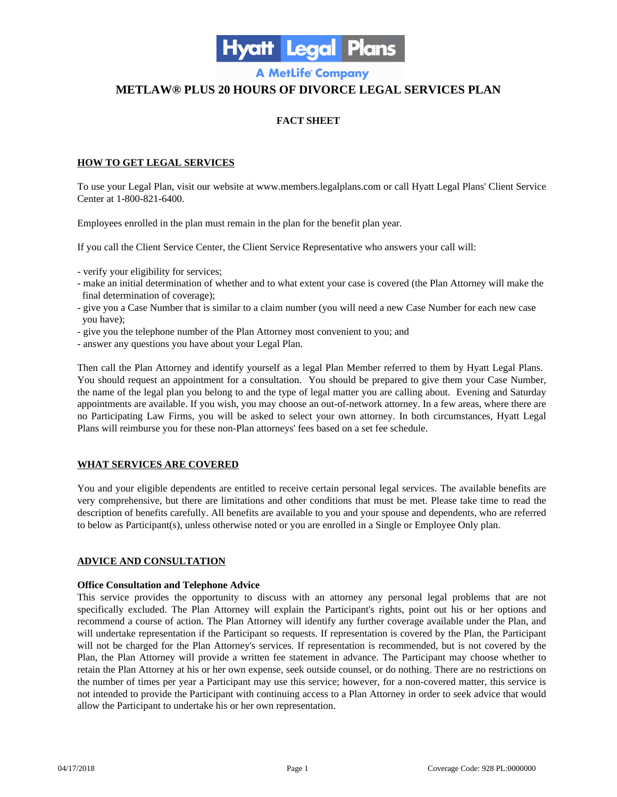

**A MetLife Company** 

# **METLAW® PLUS 20 HOURS OF DIVORCE LEGAL SERVICES PLAN**

# **FACT SHEET**

# **HOW TO GET LEGAL SERVICES**

To use your Legal Plan, visit our website at www.members.legalplans.com or call Hyatt Legal Plans' Client Service Center at 1-800-821-6400.

Employees enrolled in the plan must remain in the plan for the benefit plan year.

If you call the Client Service Center, the Client Service Representative who answers your call will:

- verify your eligibility for services;
- make an initial determination of whether and to what extent your case is covered (the Plan Attorney will make the final determination of coverage);
- give you a Case Number that is similar to a claim number (you will need a new Case Number for each new case you have);
- give you the telephone number of the Plan Attorney most convenient to you; and
- answer any questions you have about your Legal Plan.

Then call the Plan Attorney and identify yourself as a legal Plan Member referred to them by Hyatt Legal Plans. You should request an appointment for a consultation. You should be prepared to give them your Case Number, the name of the legal plan you belong to and the type of legal matter you are calling about. Evening and Saturday appointments are available. If you wish, you may choose an out-of-network attorney. In a few areas, where there are no Participating Law Firms, you will be asked to select your own attorney. In both circumstances, Hyatt Legal Plans will reimburse you for these non-Plan attorneys' fees based on a set fee schedule.

# **WHAT SERVICES ARE COVERED**

You and your eligible dependents are entitled to receive certain personal legal services. The available benefits are very comprehensive, but there are limitations and other conditions that must be met. Please take time to read the description of benefits carefully. All benefits are available to you and your spouse and dependents, who are referred to below as Participant(s), unless otherwise noted or you are enrolled in a Single or Employee Only plan.

# **ADVICE AND CONSULTATION**

#### **Office Consultation and Telephone Advice**

This service provides the opportunity to discuss with an attorney any personal legal problems that are not specifically excluded. The Plan Attorney will explain the Participant's rights, point out his or her options and recommend a course of action. The Plan Attorney will identify any further coverage available under the Plan, and will undertake representation if the Participant so requests. If representation is covered by the Plan, the Participant will not be charged for the Plan Attorney's services. If representation is recommended, but is not covered by the Plan, the Plan Attorney will provide a written fee statement in advance. The Participant may choose whether to retain the Plan Attorney at his or her own expense, seek outside counsel, or do nothing. There are no restrictions on the number of times per year a Participant may use this service; however, for a non-covered matter, this service is not intended to provide the Participant with continuing access to a Plan Attorney in order to seek advice that would allow the Participant to undertake his or her own representation.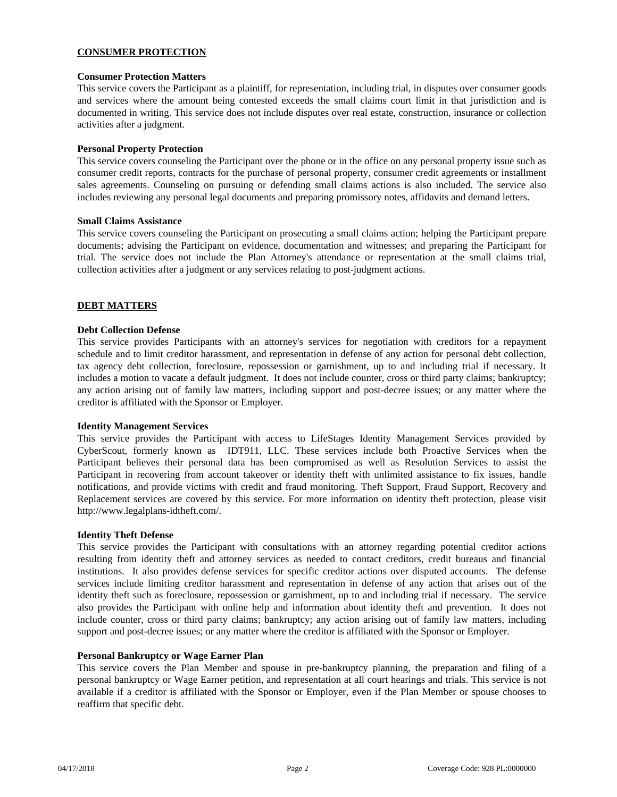# **CONSUMER PROTECTION**

# **Consumer Protection Matters**

This service covers the Participant as a plaintiff, for representation, including trial, in disputes over consumer goods and services where the amount being contested exceeds the small claims court limit in that jurisdiction and is documented in writing. This service does not include disputes over real estate, construction, insurance or collection activities after a judgment.

# **Personal Property Protection**

This service covers counseling the Participant over the phone or in the office on any personal property issue such as consumer credit reports, contracts for the purchase of personal property, consumer credit agreements or installment sales agreements. Counseling on pursuing or defending small claims actions is also included. The service also includes reviewing any personal legal documents and preparing promissory notes, affidavits and demand letters.

#### **Small Claims Assistance**

This service covers counseling the Participant on prosecuting a small claims action; helping the Participant prepare documents; advising the Participant on evidence, documentation and witnesses; and preparing the Participant for trial. The service does not include the Plan Attorney's attendance or representation at the small claims trial, collection activities after a judgment or any services relating to post-judgment actions.

# **DEBT MATTERS**

#### **Debt Collection Defense**

This service provides Participants with an attorney's services for negotiation with creditors for a repayment schedule and to limit creditor harassment, and representation in defense of any action for personal debt collection, tax agency debt collection, foreclosure, repossession or garnishment, up to and including trial if necessary. It includes a motion to vacate a default judgment. It does not include counter, cross or third party claims; bankruptcy; any action arising out of family law matters, including support and post-decree issues; or any matter where the creditor is affiliated with the Sponsor or Employer.

#### **Identity Management Services**

This service provides the Participant with access to LifeStages Identity Management Services provided by CyberScout, formerly known as IDT911, LLC. These services include both Proactive Services when the Participant believes their personal data has been compromised as well as Resolution Services to assist the Participant in recovering from account takeover or identity theft with unlimited assistance to fix issues, handle notifications, and provide victims with credit and fraud monitoring. Theft Support, Fraud Support, Recovery and Replacement services are covered by this service. For more information on identity theft protection, please visit http://www.legalplans-idtheft.com/.

#### **Identity Theft Defense**

This service provides the Participant with consultations with an attorney regarding potential creditor actions resulting from identity theft and attorney services as needed to contact creditors, credit bureaus and financial institutions. It also provides defense services for specific creditor actions over disputed accounts. The defense services include limiting creditor harassment and representation in defense of any action that arises out of the identity theft such as foreclosure, repossession or garnishment, up to and including trial if necessary. The service also provides the Participant with online help and information about identity theft and prevention. It does not include counter, cross or third party claims; bankruptcy; any action arising out of family law matters, including support and post-decree issues; or any matter where the creditor is affiliated with the Sponsor or Employer.

#### **Personal Bankruptcy or Wage Earner Plan**

This service covers the Plan Member and spouse in pre-bankruptcy planning, the preparation and filing of a personal bankruptcy or Wage Earner petition, and representation at all court hearings and trials. This service is not available if a creditor is affiliated with the Sponsor or Employer, even if the Plan Member or spouse chooses to reaffirm that specific debt.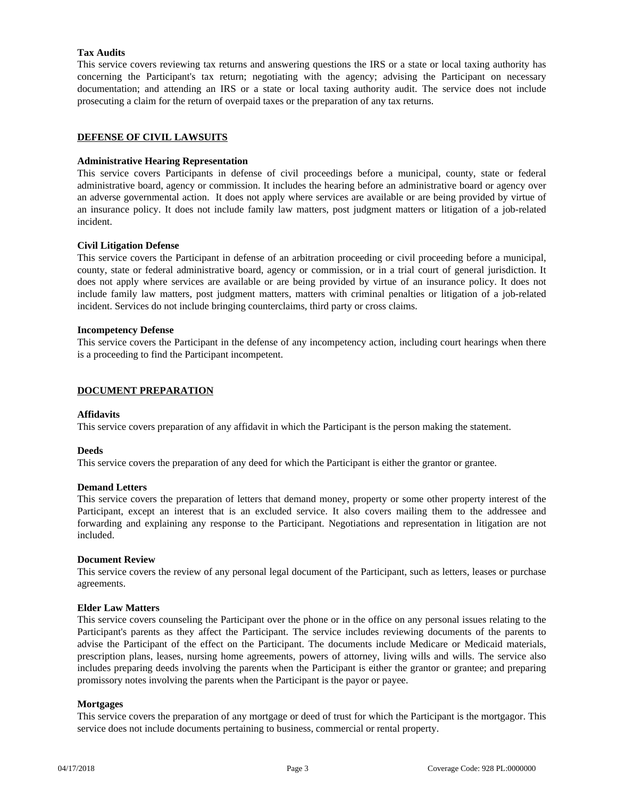# **Tax Audits**

This service covers reviewing tax returns and answering questions the IRS or a state or local taxing authority has concerning the Participant's tax return; negotiating with the agency; advising the Participant on necessary documentation; and attending an IRS or a state or local taxing authority audit. The service does not include prosecuting a claim for the return of overpaid taxes or the preparation of any tax returns.

# **DEFENSE OF CIVIL LAWSUITS**

# **Administrative Hearing Representation**

This service covers Participants in defense of civil proceedings before a municipal, county, state or federal administrative board, agency or commission. It includes the hearing before an administrative board or agency over an adverse governmental action. It does not apply where services are available or are being provided by virtue of an insurance policy. It does not include family law matters, post judgment matters or litigation of a job-related incident.

# **Civil Litigation Defense**

This service covers the Participant in defense of an arbitration proceeding or civil proceeding before a municipal, county, state or federal administrative board, agency or commission, or in a trial court of general jurisdiction. It does not apply where services are available or are being provided by virtue of an insurance policy. It does not include family law matters, post judgment matters, matters with criminal penalties or litigation of a job-related incident. Services do not include bringing counterclaims, third party or cross claims.

#### **Incompetency Defense**

This service covers the Participant in the defense of any incompetency action, including court hearings when there is a proceeding to find the Participant incompetent.

# **DOCUMENT PREPARATION**

# **Affidavits**

This service covers preparation of any affidavit in which the Participant is the person making the statement.

#### **Deeds**

This service covers the preparation of any deed for which the Participant is either the grantor or grantee.

#### **Demand Letters**

This service covers the preparation of letters that demand money, property or some other property interest of the Participant, except an interest that is an excluded service. It also covers mailing them to the addressee and forwarding and explaining any response to the Participant. Negotiations and representation in litigation are not included.

#### **Document Review**

This service covers the review of any personal legal document of the Participant, such as letters, leases or purchase agreements.

#### **Elder Law Matters**

This service covers counseling the Participant over the phone or in the office on any personal issues relating to the Participant's parents as they affect the Participant. The service includes reviewing documents of the parents to advise the Participant of the effect on the Participant. The documents include Medicare or Medicaid materials, prescription plans, leases, nursing home agreements, powers of attorney, living wills and wills. The service also includes preparing deeds involving the parents when the Participant is either the grantor or grantee; and preparing promissory notes involving the parents when the Participant is the payor or payee.

#### **Mortgages**

This service covers the preparation of any mortgage or deed of trust for which the Participant is the mortgagor. This service does not include documents pertaining to business, commercial or rental property.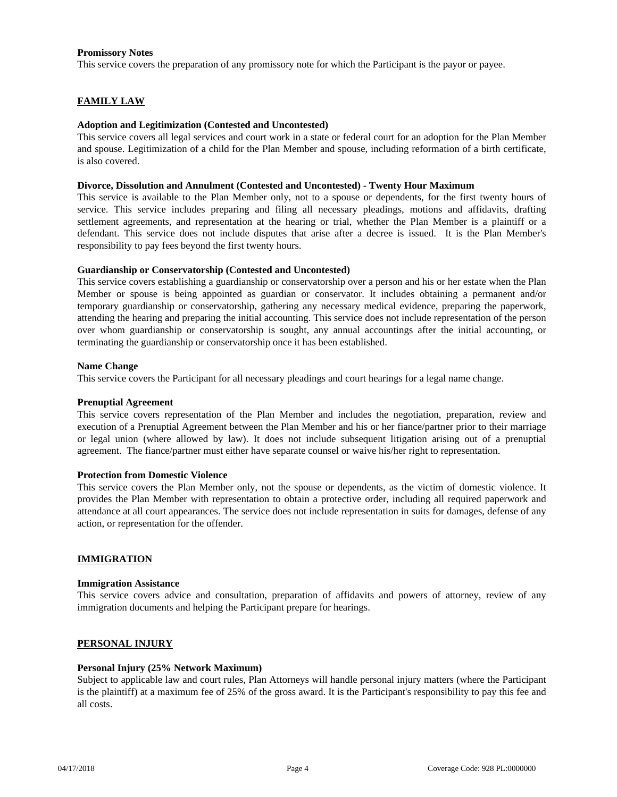# **Promissory Notes**

This service covers the preparation of any promissory note for which the Participant is the payor or payee.

# **FAMILY LAW**

#### **Adoption and Legitimization (Contested and Uncontested)**

This service covers all legal services and court work in a state or federal court for an adoption for the Plan Member and spouse. Legitimization of a child for the Plan Member and spouse, including reformation of a birth certificate, is also covered.

#### **Divorce, Dissolution and Annulment (Contested and Uncontested) - Twenty Hour Maximum**

This service is available to the Plan Member only, not to a spouse or dependents, for the first twenty hours of service. This service includes preparing and filing all necessary pleadings, motions and affidavits, drafting settlement agreements, and representation at the hearing or trial, whether the Plan Member is a plaintiff or a defendant. This service does not include disputes that arise after a decree is issued. It is the Plan Member's responsibility to pay fees beyond the first twenty hours.

# **Guardianship or Conservatorship (Contested and Uncontested)**

This service covers establishing a guardianship or conservatorship over a person and his or her estate when the Plan Member or spouse is being appointed as guardian or conservator. It includes obtaining a permanent and/or temporary guardianship or conservatorship, gathering any necessary medical evidence, preparing the paperwork, attending the hearing and preparing the initial accounting. This service does not include representation of the person over whom guardianship or conservatorship is sought, any annual accountings after the initial accounting, or terminating the guardianship or conservatorship once it has been established.

#### **Name Change**

This service covers the Participant for all necessary pleadings and court hearings for a legal name change.

#### **Prenuptial Agreement**

This service covers representation of the Plan Member and includes the negotiation, preparation, review and execution of a Prenuptial Agreement between the Plan Member and his or her fiance/partner prior to their marriage or legal union (where allowed by law). It does not include subsequent litigation arising out of a prenuptial agreement. The fiance/partner must either have separate counsel or waive his/her right to representation.

#### **Protection from Domestic Violence**

This service covers the Plan Member only, not the spouse or dependents, as the victim of domestic violence. It provides the Plan Member with representation to obtain a protective order, including all required paperwork and attendance at all court appearances. The service does not include representation in suits for damages, defense of any action, or representation for the offender.

# **IMMIGRATION**

#### **Immigration Assistance**

This service covers advice and consultation, preparation of affidavits and powers of attorney, review of any immigration documents and helping the Participant prepare for hearings.

#### **PERSONAL INJURY**

#### **Personal Injury (25% Network Maximum)**

Subject to applicable law and court rules, Plan Attorneys will handle personal injury matters (where the Participant is the plaintiff) at a maximum fee of 25% of the gross award. It is the Participant's responsibility to pay this fee and all costs.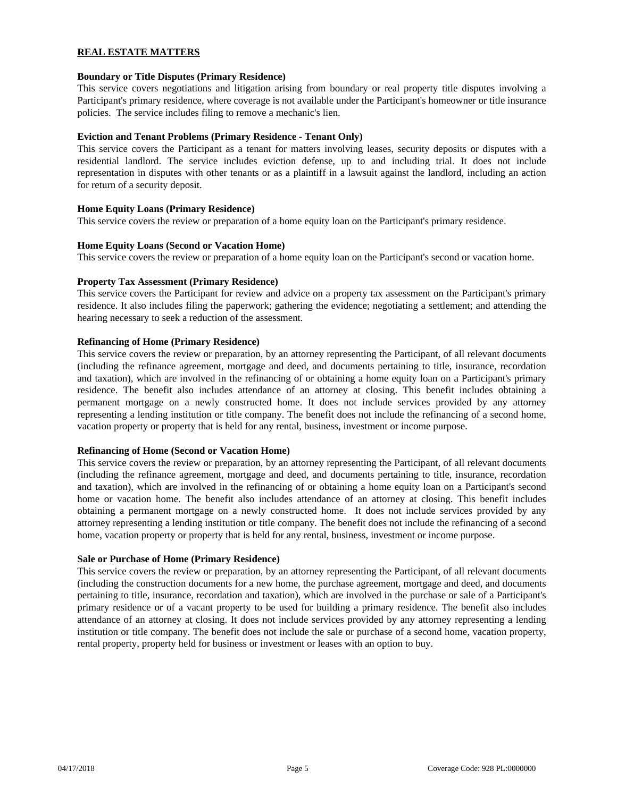# **REAL ESTATE MATTERS**

# **Boundary or Title Disputes (Primary Residence)**

This service covers negotiations and litigation arising from boundary or real property title disputes involving a Participant's primary residence, where coverage is not available under the Participant's homeowner or title insurance policies. The service includes filing to remove a mechanic's lien.

# **Eviction and Tenant Problems (Primary Residence - Tenant Only)**

This service covers the Participant as a tenant for matters involving leases, security deposits or disputes with a residential landlord. The service includes eviction defense, up to and including trial. It does not include representation in disputes with other tenants or as a plaintiff in a lawsuit against the landlord, including an action for return of a security deposit.

# **Home Equity Loans (Primary Residence)**

This service covers the review or preparation of a home equity loan on the Participant's primary residence.

# **Home Equity Loans (Second or Vacation Home)**

This service covers the review or preparation of a home equity loan on the Participant's second or vacation home.

# **Property Tax Assessment (Primary Residence)**

This service covers the Participant for review and advice on a property tax assessment on the Participant's primary residence. It also includes filing the paperwork; gathering the evidence; negotiating a settlement; and attending the hearing necessary to seek a reduction of the assessment.

# **Refinancing of Home (Primary Residence)**

This service covers the review or preparation, by an attorney representing the Participant, of all relevant documents (including the refinance agreement, mortgage and deed, and documents pertaining to title, insurance, recordation and taxation), which are involved in the refinancing of or obtaining a home equity loan on a Participant's primary residence. The benefit also includes attendance of an attorney at closing. This benefit includes obtaining a permanent mortgage on a newly constructed home. It does not include services provided by any attorney representing a lending institution or title company. The benefit does not include the refinancing of a second home, vacation property or property that is held for any rental, business, investment or income purpose.

#### **Refinancing of Home (Second or Vacation Home)**

This service covers the review or preparation, by an attorney representing the Participant, of all relevant documents (including the refinance agreement, mortgage and deed, and documents pertaining to title, insurance, recordation and taxation), which are involved in the refinancing of or obtaining a home equity loan on a Participant's second home or vacation home. The benefit also includes attendance of an attorney at closing. This benefit includes obtaining a permanent mortgage on a newly constructed home. It does not include services provided by any attorney representing a lending institution or title company. The benefit does not include the refinancing of a second home, vacation property or property that is held for any rental, business, investment or income purpose.

#### **Sale or Purchase of Home (Primary Residence)**

This service covers the review or preparation, by an attorney representing the Participant, of all relevant documents (including the construction documents for a new home, the purchase agreement, mortgage and deed, and documents pertaining to title, insurance, recordation and taxation), which are involved in the purchase or sale of a Participant's primary residence or of a vacant property to be used for building a primary residence. The benefit also includes attendance of an attorney at closing. It does not include services provided by any attorney representing a lending institution or title company. The benefit does not include the sale or purchase of a second home, vacation property, rental property, property held for business or investment or leases with an option to buy.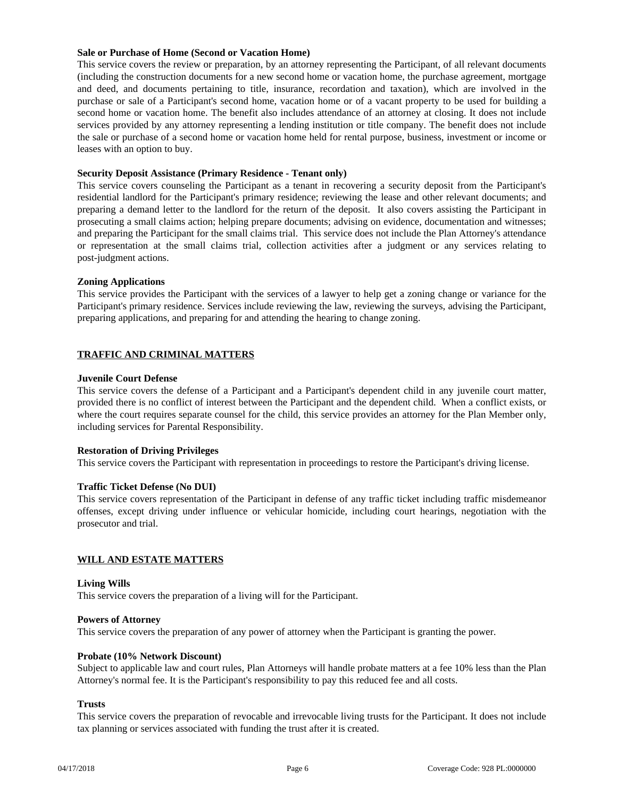# **Sale or Purchase of Home (Second or Vacation Home)**

This service covers the review or preparation, by an attorney representing the Participant, of all relevant documents (including the construction documents for a new second home or vacation home, the purchase agreement, mortgage and deed, and documents pertaining to title, insurance, recordation and taxation), which are involved in the purchase or sale of a Participant's second home, vacation home or of a vacant property to be used for building a second home or vacation home. The benefit also includes attendance of an attorney at closing. It does not include services provided by any attorney representing a lending institution or title company. The benefit does not include the sale or purchase of a second home or vacation home held for rental purpose, business, investment or income or leases with an option to buy.

# **Security Deposit Assistance (Primary Residence - Tenant only)**

This service covers counseling the Participant as a tenant in recovering a security deposit from the Participant's residential landlord for the Participant's primary residence; reviewing the lease and other relevant documents; and preparing a demand letter to the landlord for the return of the deposit. It also covers assisting the Participant in prosecuting a small claims action; helping prepare documents; advising on evidence, documentation and witnesses; and preparing the Participant for the small claims trial. This service does not include the Plan Attorney's attendance or representation at the small claims trial, collection activities after a judgment or any services relating to post-judgment actions.

# **Zoning Applications**

This service provides the Participant with the services of a lawyer to help get a zoning change or variance for the Participant's primary residence. Services include reviewing the law, reviewing the surveys, advising the Participant, preparing applications, and preparing for and attending the hearing to change zoning.

# **TRAFFIC AND CRIMINAL MATTERS**

# **Juvenile Court Defense**

This service covers the defense of a Participant and a Participant's dependent child in any juvenile court matter, provided there is no conflict of interest between the Participant and the dependent child. When a conflict exists, or where the court requires separate counsel for the child, this service provides an attorney for the Plan Member only, including services for Parental Responsibility.

# **Restoration of Driving Privileges**

This service covers the Participant with representation in proceedings to restore the Participant's driving license.

# **Traffic Ticket Defense (No DUI)**

This service covers representation of the Participant in defense of any traffic ticket including traffic misdemeanor offenses, except driving under influence or vehicular homicide, including court hearings, negotiation with the prosecutor and trial.

#### **WILL AND ESTATE MATTERS**

#### **Living Wills**

This service covers the preparation of a living will for the Participant.

#### **Powers of Attorney**

This service covers the preparation of any power of attorney when the Participant is granting the power.

#### **Probate (10% Network Discount)**

Subject to applicable law and court rules, Plan Attorneys will handle probate matters at a fee 10% less than the Plan Attorney's normal fee. It is the Participant's responsibility to pay this reduced fee and all costs.

#### **Trusts**

This service covers the preparation of revocable and irrevocable living trusts for the Participant. It does not include tax planning or services associated with funding the trust after it is created.